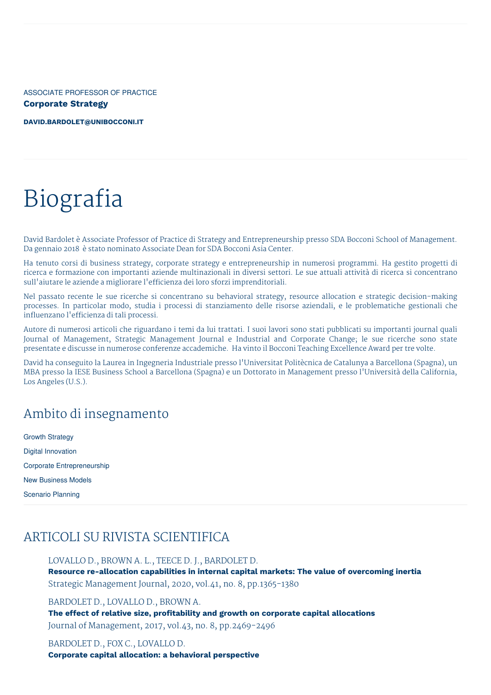ASSOCIATE PROFESSOR OF PRACTICE **Corporate Strategy**

**[DAVID.BARDOLET@UNIBOCCONI.IT](mailto:david.bardolet@unibocconi.it)**

# Biografia

David Bardolet è Associate Professor of Practice di Strategy and Entrepreneurship presso SDA Bocconi School of Management. Da gennaio 2018 è stato nominato Associate Dean for SDA Bocconi Asia Center.

Ha tenuto corsi di business strategy, corporate strategy e entrepreneurship in numerosi programmi. Ha gestito progetti di ricerca e formazione con importanti aziende multinazionali in diversi settori. Le sue attuali attività di ricerca si concentrano sull'aiutare le aziende a migliorare l'efficienza dei loro sforzi imprenditoriali.

Nel passato recente le sue ricerche si concentrano su behavioral strategy, resource allocation e strategic decision-making processes. In particolar modo, studia i processi di stanziamento delle risorse aziendali, e le problematiche gestionali che influenzano l'efficienza di tali processi.

Autore di numerosi articoli che riguardano i temi da lui trattati. I suoi lavori sono stati pubblicati su importanti journal quali Journal of Management, Strategic Management Journal e Industrial and Corporate Change; le sue ricerche sono state presentate e discusse in numerose conferenze accademiche. Ha vinto il Bocconi Teaching Excellence Award per tre volte.

David ha conseguito la Laurea in Ingegneria Industriale presso l'Universitat Politècnica de Catalunya a Barcellona (Spagna), un MBA presso la IESE Business School a Barcellona (Spagna) e un Dottorato in Management presso l'Università della California, Los Angeles (U.S.).

## Ambito di insegnamento

Growth Strategy Digital Innovation Corporate Entrepreneurship New Business Models Scenario Planning

## ARTICOLI SU RIVISTA SCIENTIFICA

LOVALLO D., BROWN A. L., TEECE D. J., BARDOLET D. **Resource re-allocation capabilities in internal capital markets: The value of overcoming inertia** Strategic Management Journal, 2020, vol.41, no. 8, pp.1365-1380

BARDOLET D., LOVALLO D., BROWN A.

**The effect of relative size, profitability and growth on corporate capital allocations** Journal of Management, 2017, vol.43, no. 8, pp.2469-2496

BARDOLET D., FOX C., LOVALLO D. **Corporate capital allocation: a behavioral perspective**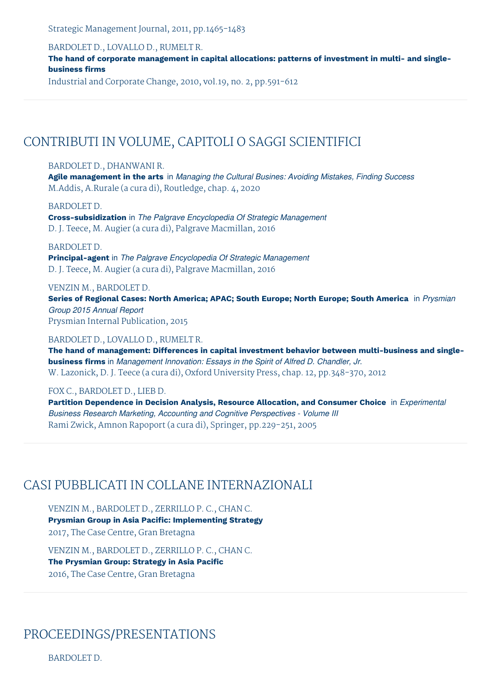Strategic Management Journal, 2011, pp.1465-1483

BARDOLET D., LOVALLO D., RUMELT R.

**The hand of corporate management in capital allocations: patterns of investment in multi- and singlebusiness firms**

Industrial and Corporate Change, 2010, vol.19, no. 2, pp.591-612

## CONTRIBUTI IN VOLUME, CAPITOLI O SAGGI SCIENTIFICI

#### BARDOLET D., DHANWANI R.

**Agile management in the arts** in *Managing the Cultural Busines: Avoiding Mistakes, Finding Success* M.Addis, A.Rurale (a cura di), Routledge, chap. 4, 2020

BARDOLET D.

**Cross-subsidization** in *The Palgrave Encyclopedia Of Strategic Management* D. J. Teece, M. Augier (a cura di), Palgrave Macmillan, 2016

BARDOLET D.

**Principal-agent** in *The Palgrave Encyclopedia Of Strategic Management* D. J. Teece, M. Augier (a cura di), Palgrave Macmillan, 2016

VENZIN M., BARDOLET D.

**Series of Regional Cases: North America; APAC; South Europe; North Europe; South America** in *Prysmian Group 2015 Annual Report* Prysmian Internal Publication, 2015

#### BARDOLET D., LOVALLO D., RUMELT R.

**The hand of management: Differences in capital investment behavior between multi-business and singlebusiness firms** in *Management Innovation: Essays in the Spirit of Alfred D. Chandler, Jr.* W. Lazonick, D. J. Teece (a cura di), Oxford University Press, chap. 12, pp.348-370, 2012

FOX C., BARDOLET D., LIEB D.

**Partition Dependence in Decision Analysis, Resource Allocation, and Consumer Choice** in *Experimental Business Research Marketing, Accounting and Cognitive Perspectives - Volume III* Rami Zwick, Amnon Rapoport (a cura di), Springer, pp.229-251, 2005

## CASI PUBBLICATI IN COLLANE INTERNAZIONALI

VENZIN M., BARDOLET D., ZERRILLO P. C., CHAN C. **Prysmian Group in Asia Pacific: Implementing Strategy** 2017, The Case Centre, Gran Bretagna

VENZIN M., BARDOLET D., ZERRILLO P. C., CHAN C. **The Prysmian Group: Strategy in Asia Pacific** 2016, The Case Centre, Gran Bretagna

# PROCEEDINGS/PRESENTATIONS

BARDOLET D.